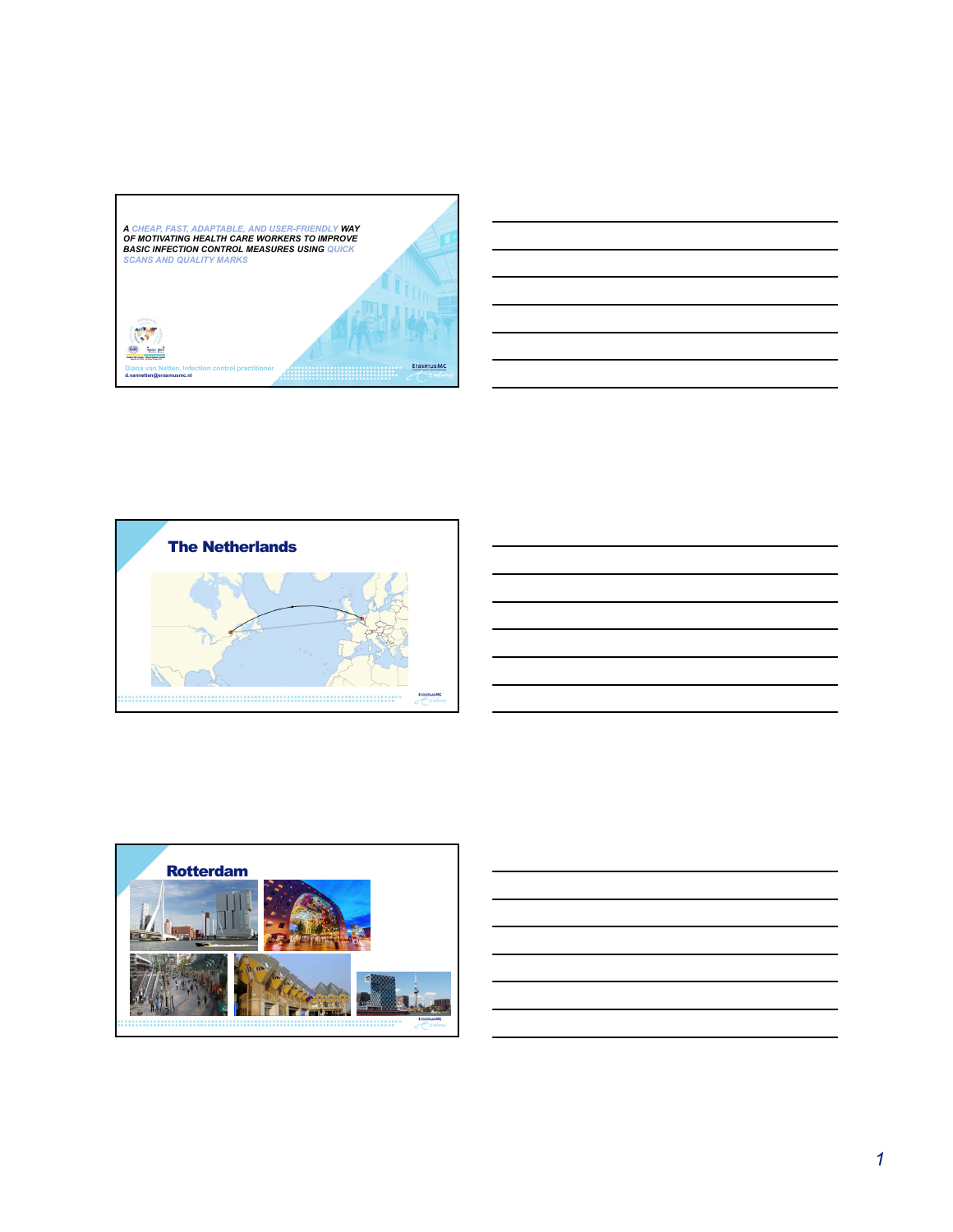





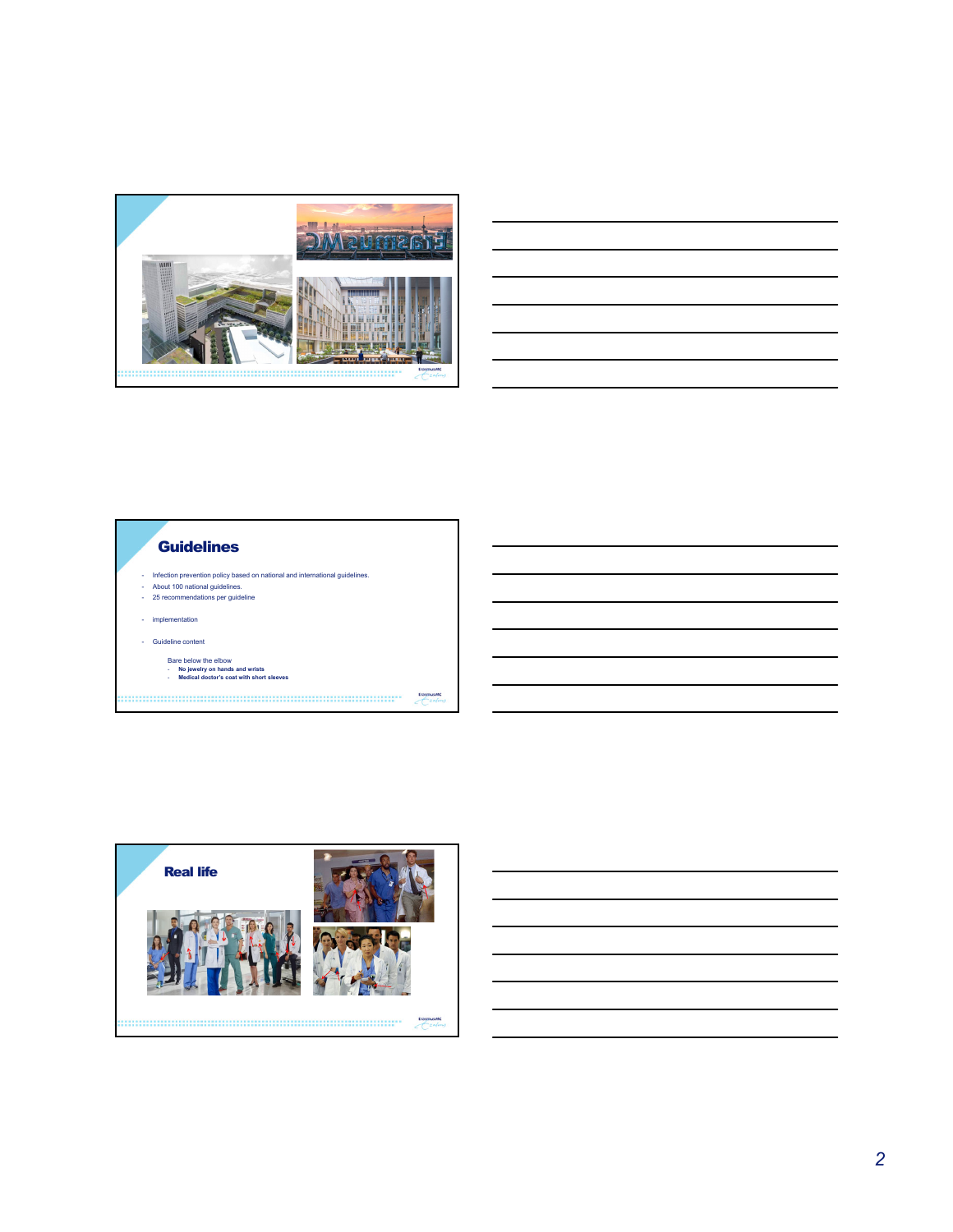





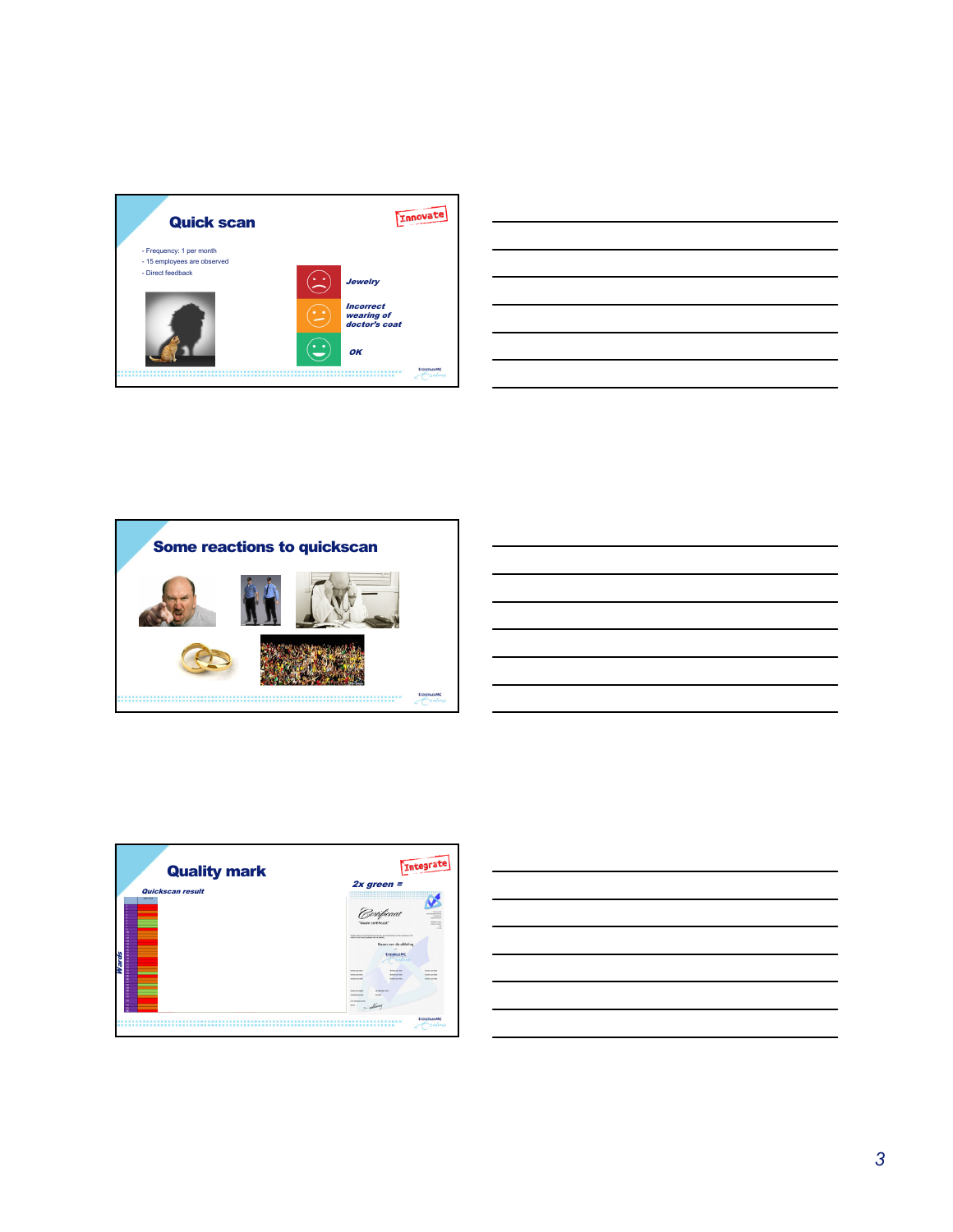

| and the contract of the contract of the contract of the contract of the contract of the contract of the contract of  |  |  |  |  |
|----------------------------------------------------------------------------------------------------------------------|--|--|--|--|
| <u> Andreas Andreas Andreas Andreas Andreas Andreas Andreas Andreas Andreas Andreas Andreas Andreas Andreas Andr</u> |  |  |  |  |
|                                                                                                                      |  |  |  |  |
|                                                                                                                      |  |  |  |  |





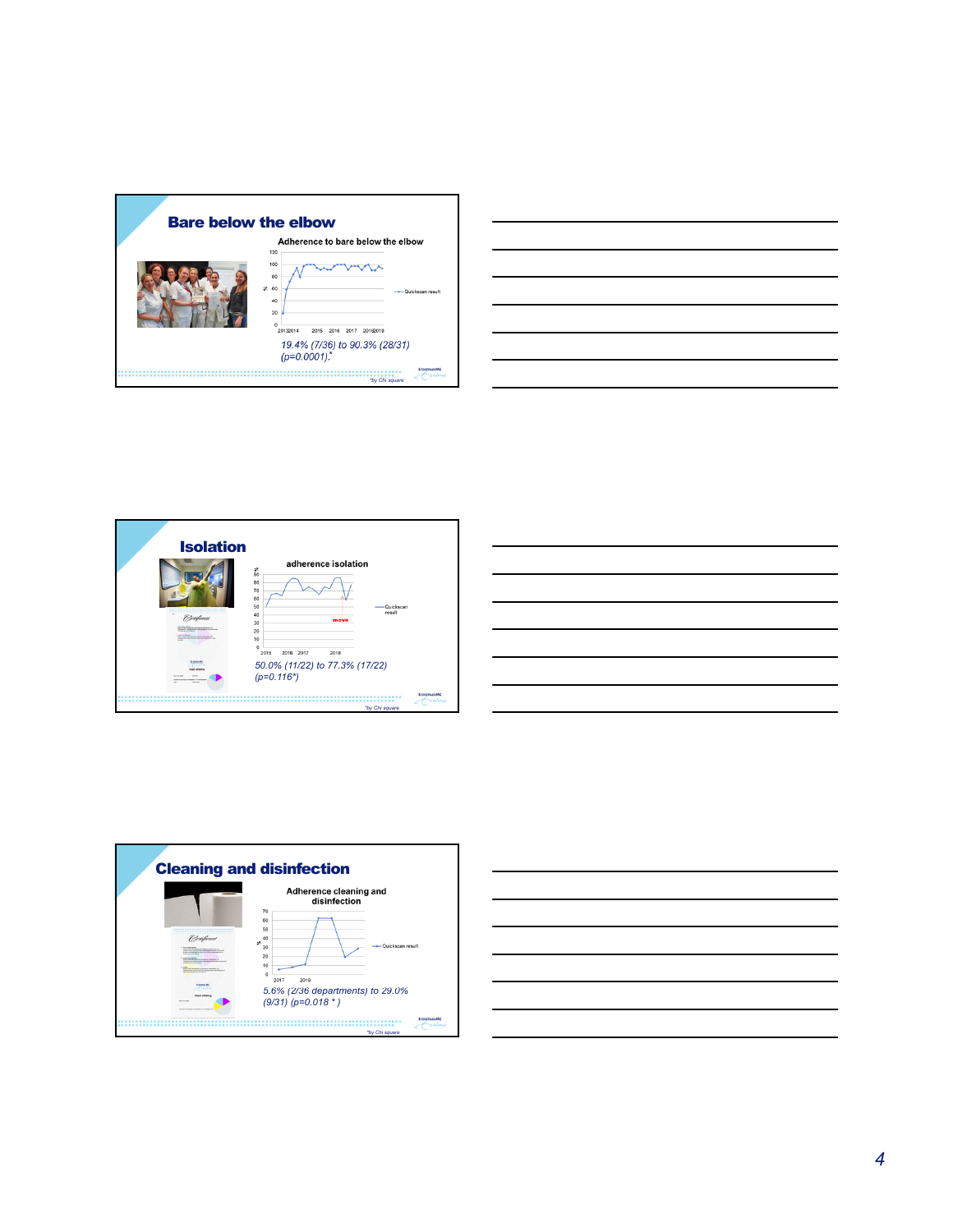| Adherence to bare below the elbow<br>120<br>100<br>80<br>×.<br>60<br>- Quickscan result<br>40<br>20<br>o<br>20132014<br>2015<br>20182019<br>2016<br>2017<br>19.4% (7/36) to 90.3% (28/31)<br>(p=0.0001).*<br><b>Frasmus M</b> | <b>Bare below the elbow</b> |  |
|-------------------------------------------------------------------------------------------------------------------------------------------------------------------------------------------------------------------------------|-----------------------------|--|
|                                                                                                                                                                                                                               |                             |  |